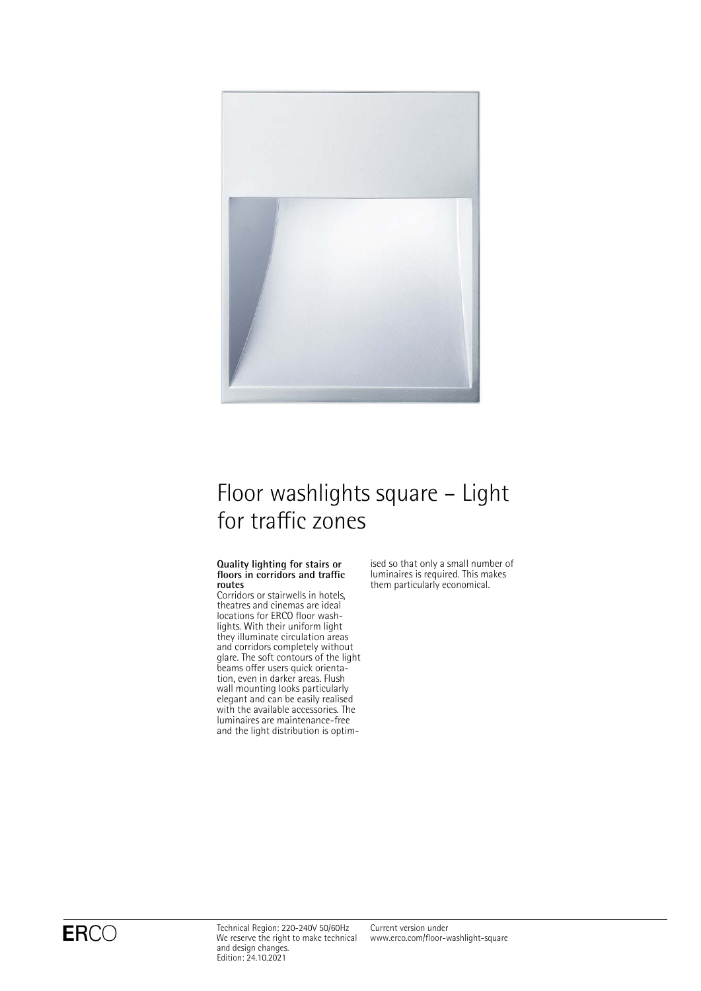

# Floor washlights square – Light for traffic zones

### **Quality lighting for stairs or floors in corridors and traffic routes**

Corridors or stairwells in hotels, theatres and cinemas are ideal locations for ERCO floor washlights. With their uniform light they illuminate circulation areas and corridors completely without glare. The soft contours of the light beams offer users quick orientation, even in darker areas. Flush wall mounting looks particularly elegant and can be easily realised with the available accessories. The luminaires are maintenance-free and the light distribution is optimised so that only a small number of luminaires is required. This makes them particularly economical.

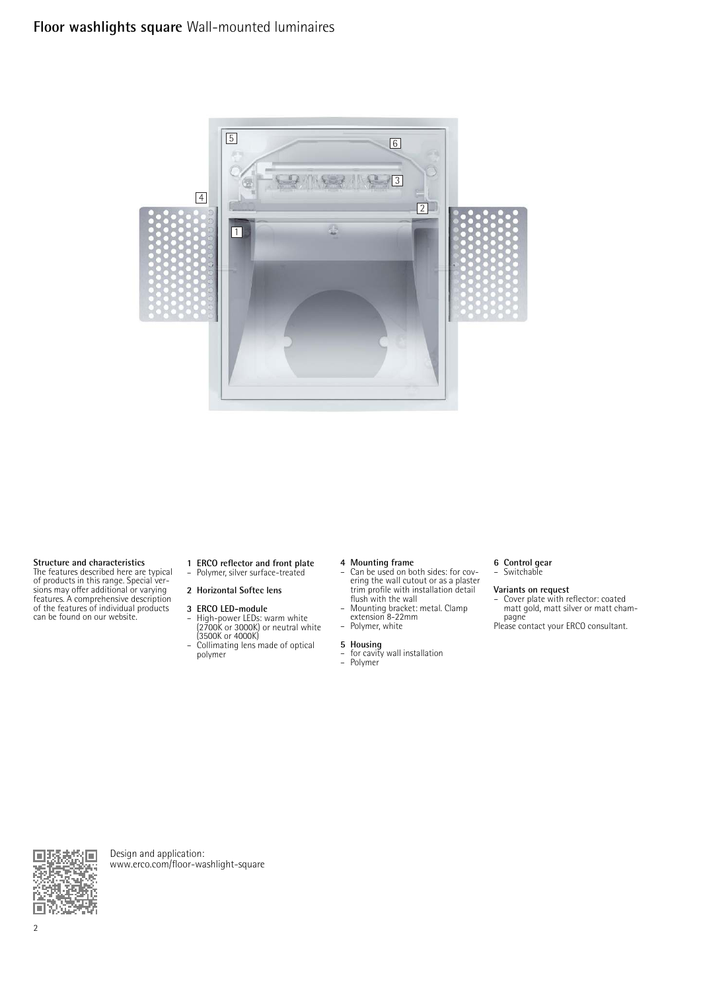

**Structure and characteristics** The features described here are typical of products in this range. Special ver-sions may offer additional or varying features. A comprehensive description of the features of individual products can be found on our website.

**1 ERCO reflector and front plate** – Polymer, silver surface-treated

## **2 Horizontal Softec lens**

- **3 ERCO LED-module** High-power LEDs: warm white (2700K or 3000K) or neutral white (3500K or 4000K) – Collimating lens made of optical
- polymer

- **4 Mounting frame** Can be used on both sides: for covering the wall cutout or as a plaster trim profile with installation detail flush with the wall
- Mounting bracket: metal. Clamp extension 8-22mm Polymer, white
- 

- **5 Housing** for cavity wall installation Polymer
- **6 Control gear** Switchable

**Variants on request** – Cover plate with reflector: coated matt gold, matt silver or matt champagne

Please contact your ERCO consultant.



Design and application: [www.erco.com/floor-washlight-square](http://www.erco.com/floor-washlight-square)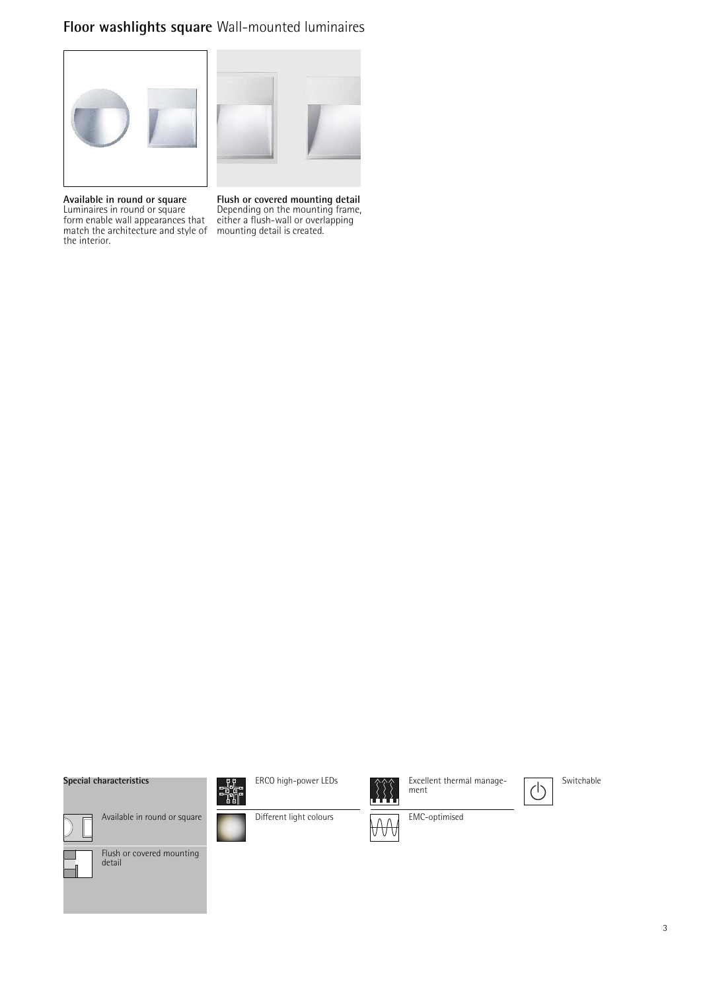## **Floor washlights square** Wall-mounted luminaires





**Available in round or square** Luminaires in round or square form enable wall appearances that match the architecture and style of the interior.

**Flush or covered mounting detail** Depending on the mounting frame, either a flush-wall or overlapping mounting detail is created.

## **Special characteristics**



ERCO high-power LEDs



Excellent thermal management









Flush or covered mounting detail





EMC-optimised

3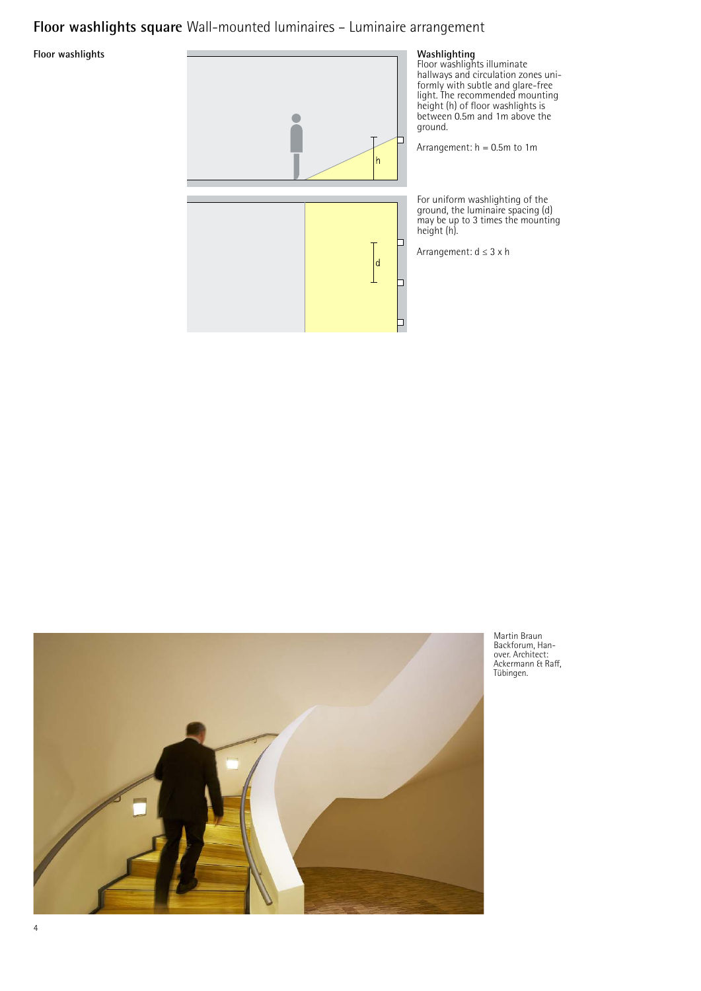## **Floor washlights square** Wall-mounted luminaires – Luminaire arrangement

**Floor washlights** 





Martin Braun Backforum, Han-over. Architect: Ackermann & Raff, Tübingen.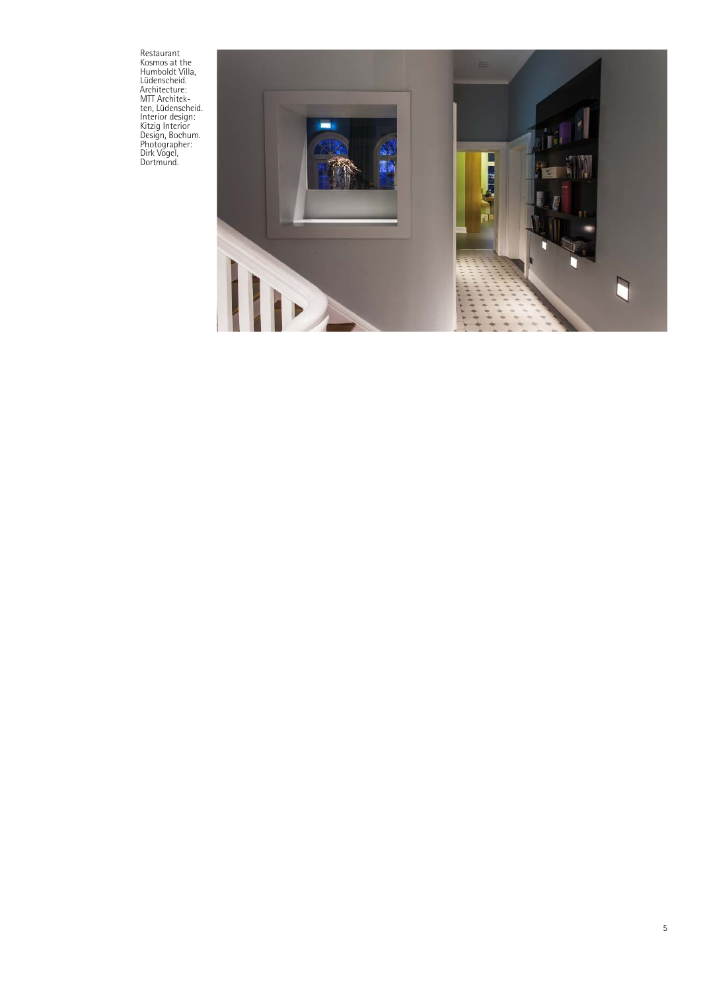Restaurant<br>Kosmos at the<br>Humboldt Villa,<br>Lüdenscheid.<br>Architecture:<br>MTT Architek-<br>Interior design:<br>Kitzig Interior<br>Nictographer:<br>Photographer:<br>Dirk Vogel,<br>Dortmund.

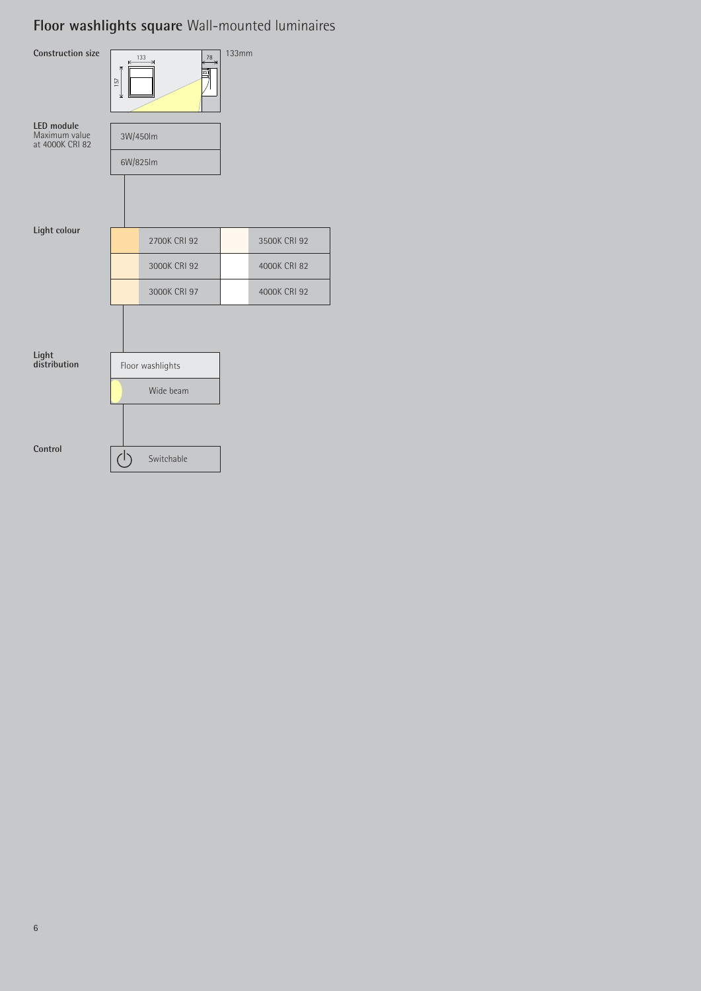# **Floor washlights square** Wall-mounted luminaires

| <b>Construction size</b>                       | 133<br>$\in$<br>157<br>⊻     | <b>133mm</b><br>78<br>⇥ |                              |
|------------------------------------------------|------------------------------|-------------------------|------------------------------|
| LED module<br>Maximum value<br>at 4000K CRI 82 | 3W/450lm<br>6W/825lm         |                         |                              |
| Light colour                                   |                              |                         |                              |
|                                                | 2700K CRI 92<br>3000K CRI 92 |                         | 3500K CRI 92<br>4000K CRI 82 |
|                                                | 3000K CRI 97                 |                         | 4000K CRI 92                 |
|                                                |                              |                         |                              |
| Light<br>distribution                          | Floor washlights             |                         |                              |
|                                                | Wide beam                    |                         |                              |
| Control                                        | Switchable                   |                         |                              |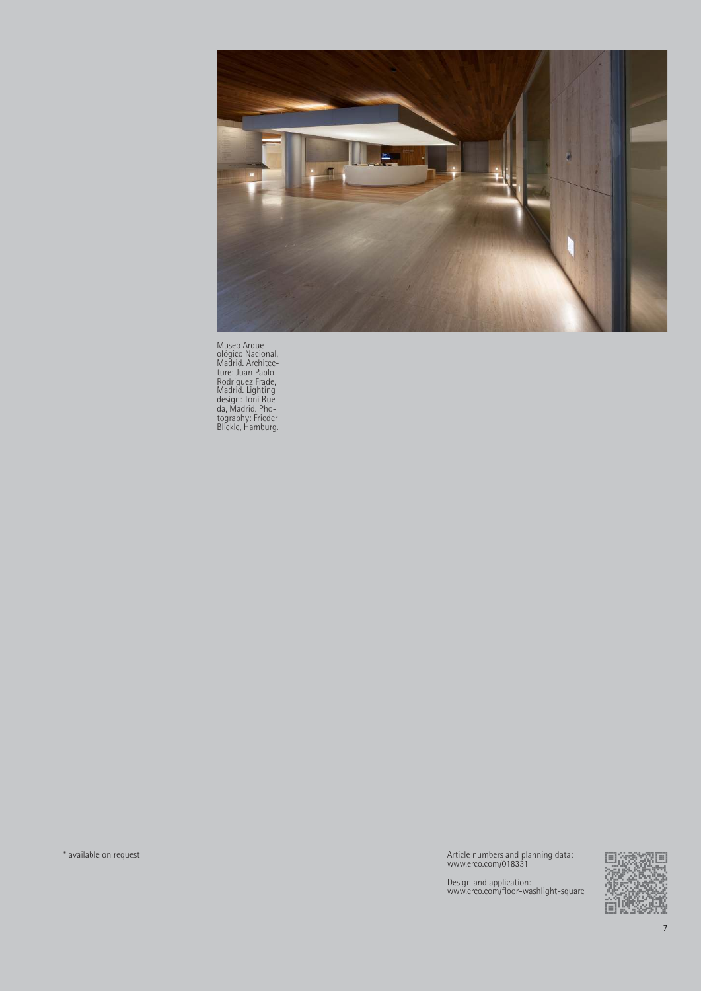

Museo Arque-<br>Madrid. Architec-<br>ture: Juan Pablo<br>Rodriguez Frade,<br>Madrid. Lighting<br>design: Toni Rue-<br>da, Madrid. Pho-<br>tography: Frieder<br>Blickle, Hamburg.

\* available on request Article numbers and planning data: www.erco.com/018331

Design and application: www.erco.com/floor-washlight-square